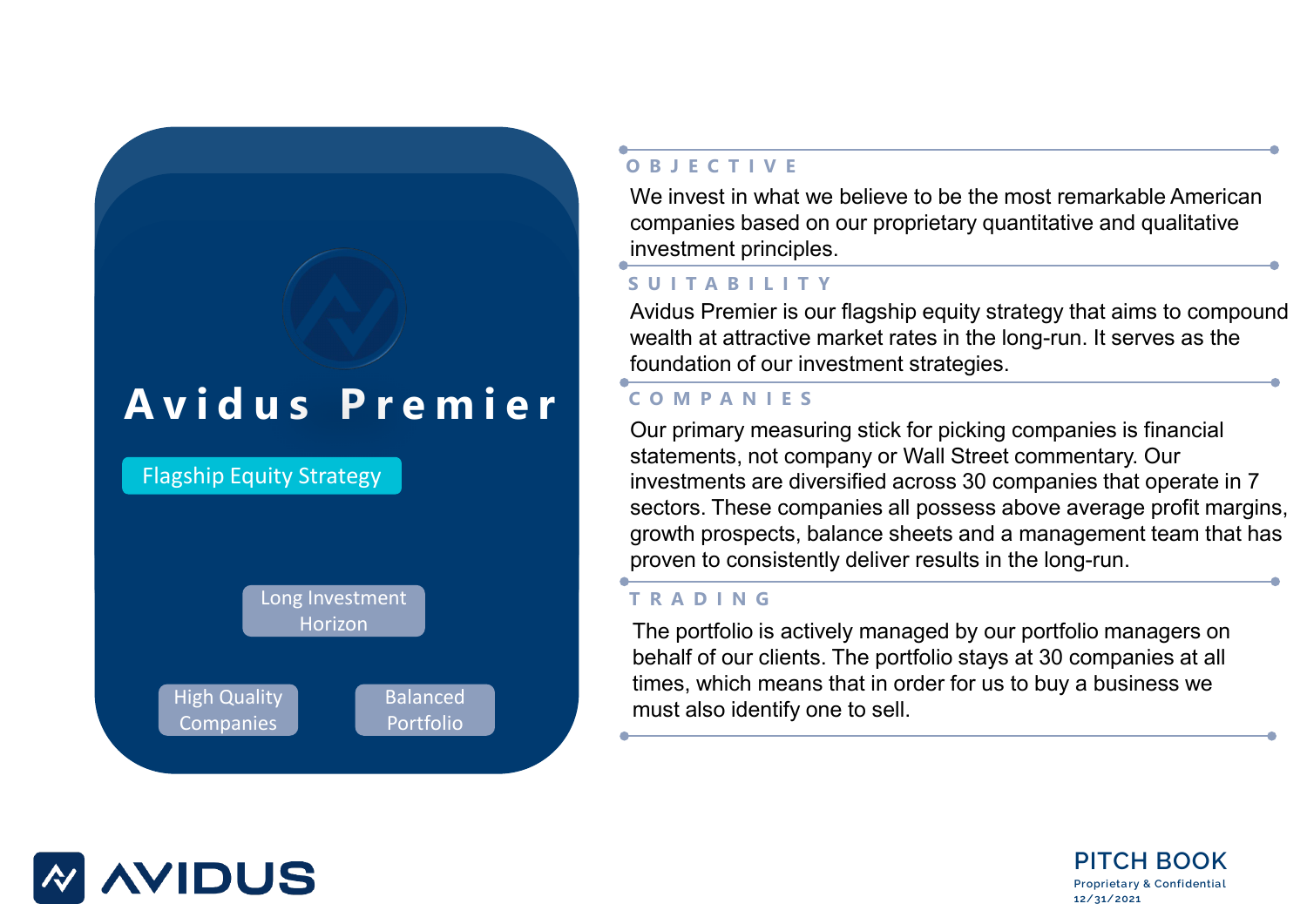## **Avidus Premier**



## **OBJECTIVE**

We invest in what we believe to be the most remarkable American companies based on our proprietary quantitative and qualitative investment principles.

## **SUITABILITY**

Avidus Premier is our flagship equity strategy that aims to compound wealth at attractive market rates in the long-run. It serves as the foundation of our investment strategies.

### **COMPANIES**

Our primary measuring stick for picking companies is financial statements, not company or Wall Street commentary. Our investments are diversified across 30 companies that operate in 7 sectors. These companies all possess above average profit margins, growth prospects, balance sheets and a management team that has proven to consistently deliver results in the long-run.

## **TRADING**

The portfolio is actively managed by our portfolio managers on behalf of our clients. The portfolio stays at 30 companies at all times, which means that in order for us to buy a business we must also identify one to sell.



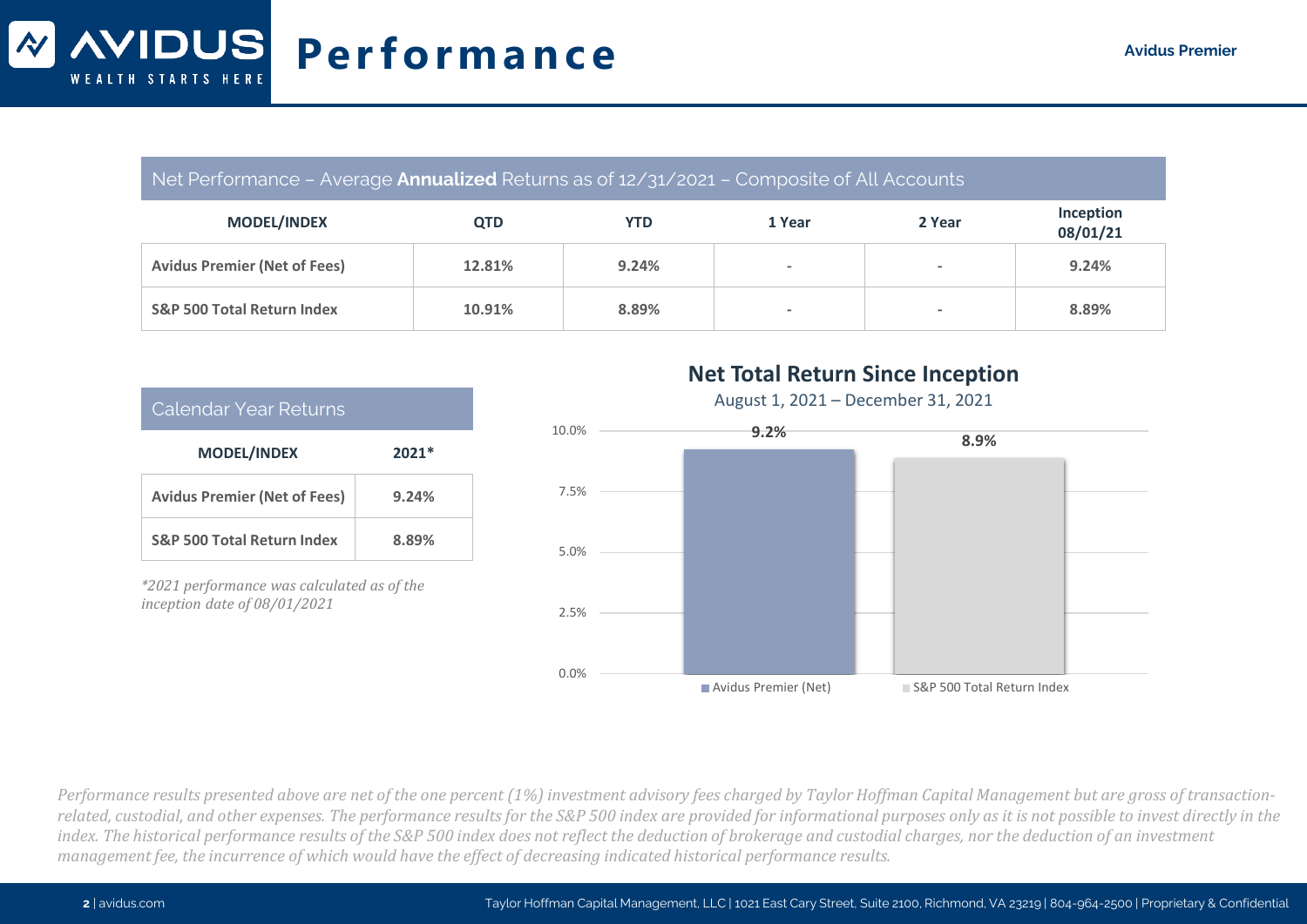#### Net Performance – Average **Annualized** Returns as of 12/31/2021 – Composite of All Accounts

| <b>MODEL/INDEX</b>                    | <b>QTD</b> | <b>YTD</b> | 1 Year                   | 2 Year | Inception<br>08/01/21 |
|---------------------------------------|------------|------------|--------------------------|--------|-----------------------|
| <b>Avidus Premier (Net of Fees)</b>   | 12.81%     | 9.24%      | $\overline{\phantom{a}}$ | $\,$   | 9.24%                 |
| <b>S&amp;P 500 Total Return Index</b> | 10.91%     | 8.89%      | $\overline{\phantom{a}}$ | $\,$   | 8.89%                 |

| Calendar Year Returns                 |         |  |
|---------------------------------------|---------|--|
| <b>MODEL/INDEX</b>                    | $2021*$ |  |
| <b>Avidus Premier (Net of Fees)</b>   | 9.24%   |  |
| <b>S&amp;P 500 Total Return Index</b> | 8.89%   |  |

*\*2021 performance was calculated as of the inception date of 08/01/2021*

## **Net Total Return Since Inception**

August 1, 2021 – December 31, 2021



*Performance results presented above are net of the one percent (1%) investment advisory fees charged by Taylor Hoffman Capital Management but are gross of transactionrelated, custodial, and other expenses. The performance results for the S&P 500 index are provided for informational purposes only as it is not possible to invest directly in the*  index. The historical performance results of the S&P 500 index does not reflect the deduction of brokerage and custodial charges, nor the deduction of an investment *management fee, the incurrence of which would have the effect of decreasing indicated historical performance results.*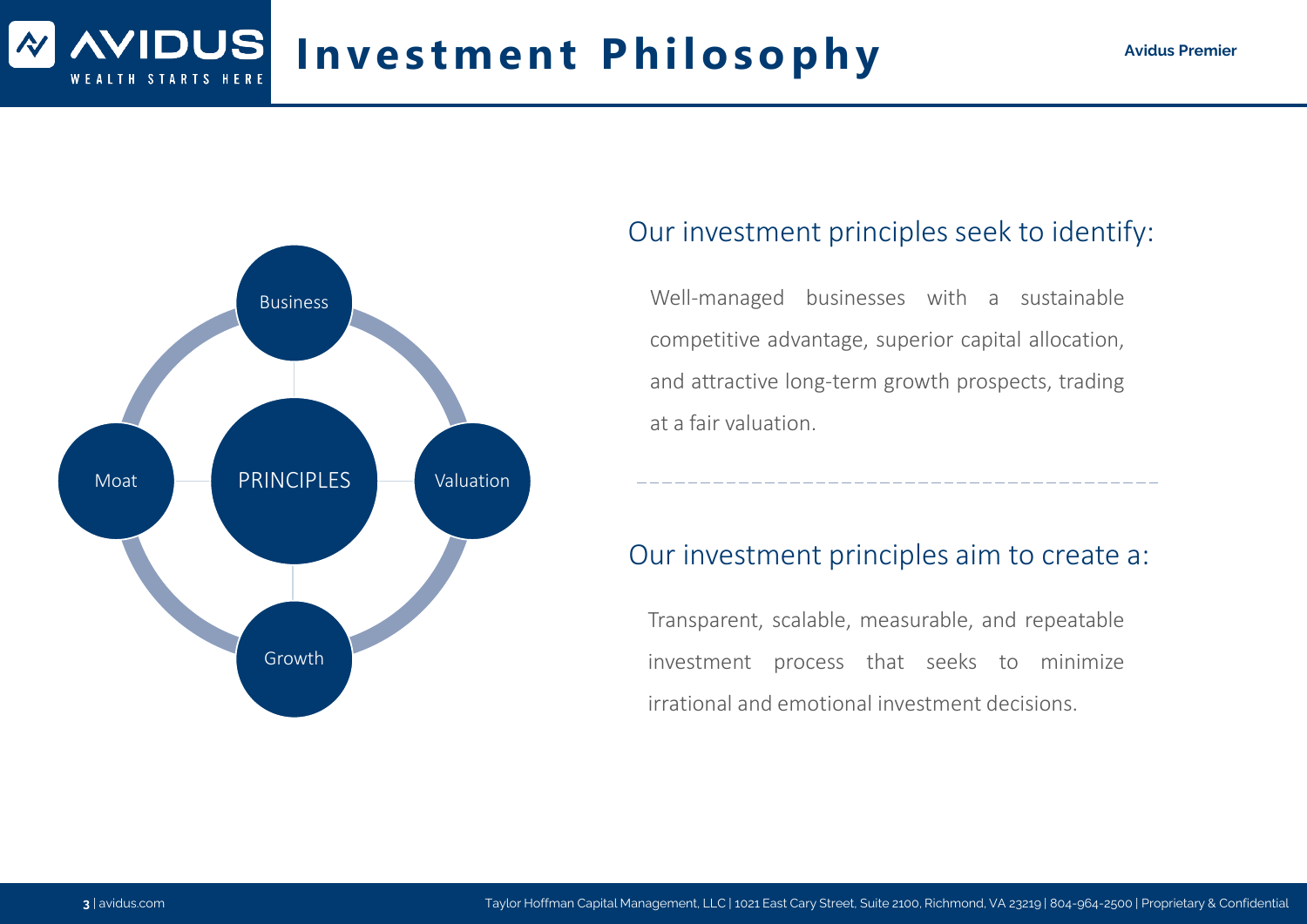## **Investment Philosophy Avidus Premier**



## Our investment principles seek to identify:

Well-managed businesses with a sustainable competitive advantage, superior capital allocation, and attractive long-term growth prospects, trading at a fair valuation.

## Our investment principles aim to create a:

Transparent, scalable, measurable, and repeatable investment process that seeks to minimize irrational and emotional investment decisions.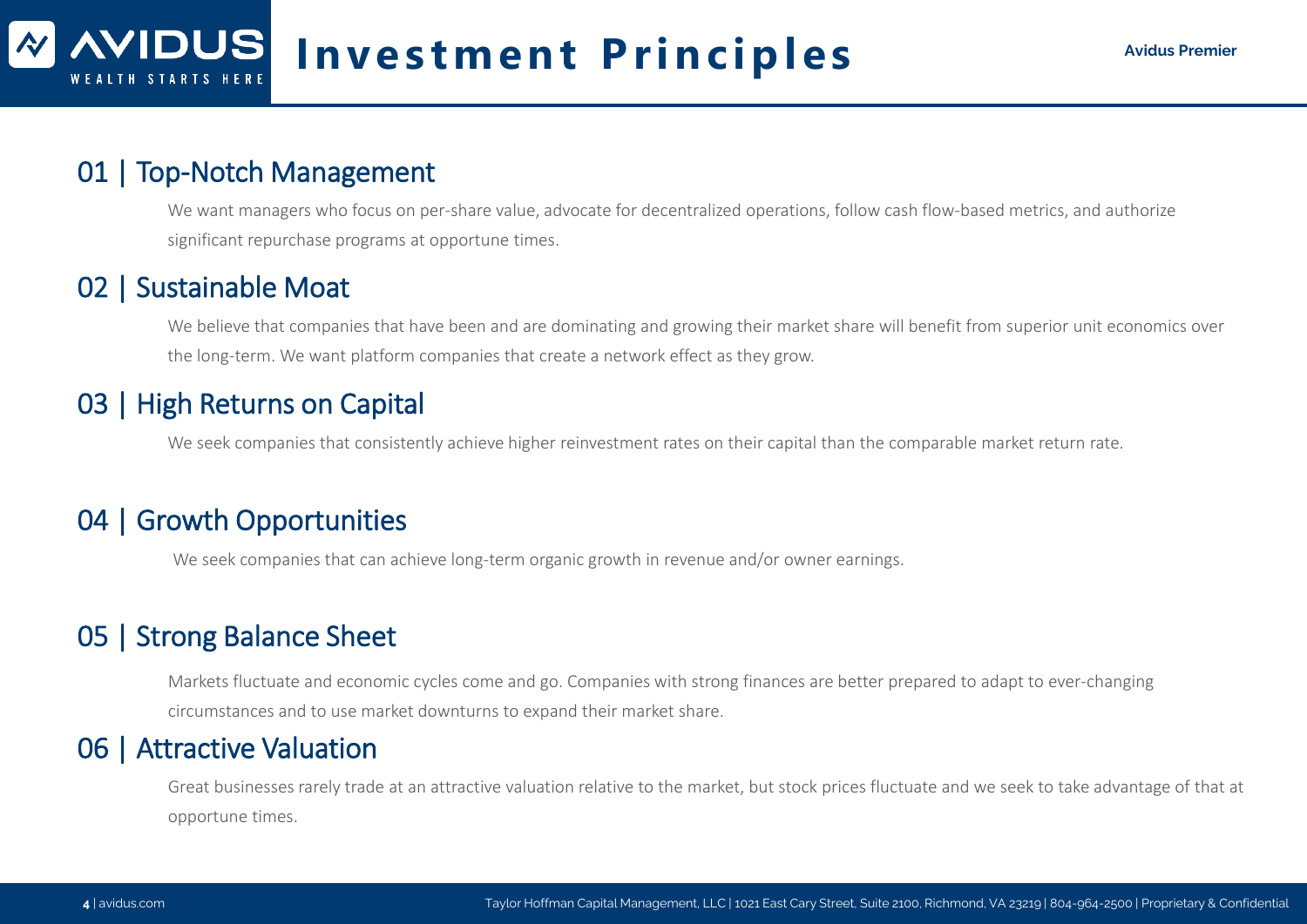## 01 | Top-Notch Management

We want managers who focus on per-share value, advocate for decentralized operations, follow cash flow-based metrics, and authorize significant repurchase programs at opportune times.

## 02 | Sustainable Moat

We believe that companies that have been and are dominating and growing their market share will benefit from superior unit economics over the long-term. We want platform companies that create a network effect as they grow.

## 03 | High Returns on Capital

We seek companies that consistently achieve higher reinvestment rates on their capital than the comparable market return rate.

## 04 | Growth Opportunities

We seek companies that can achieve long-term organic growth in revenue and/or owner earnings.

## 05 | Strong Balance Sheet

Markets fluctuate and economic cycles come and go. Companies with strong finances are better prepared to adapt to ever-changing circumstances and to use market downturns to expand their market share.

## 06 | Attractive Valuation

Great businesses rarely trade at an attractive valuation relative to the market, but stock prices fluctuate and we seek to take advantage of that at opportune times.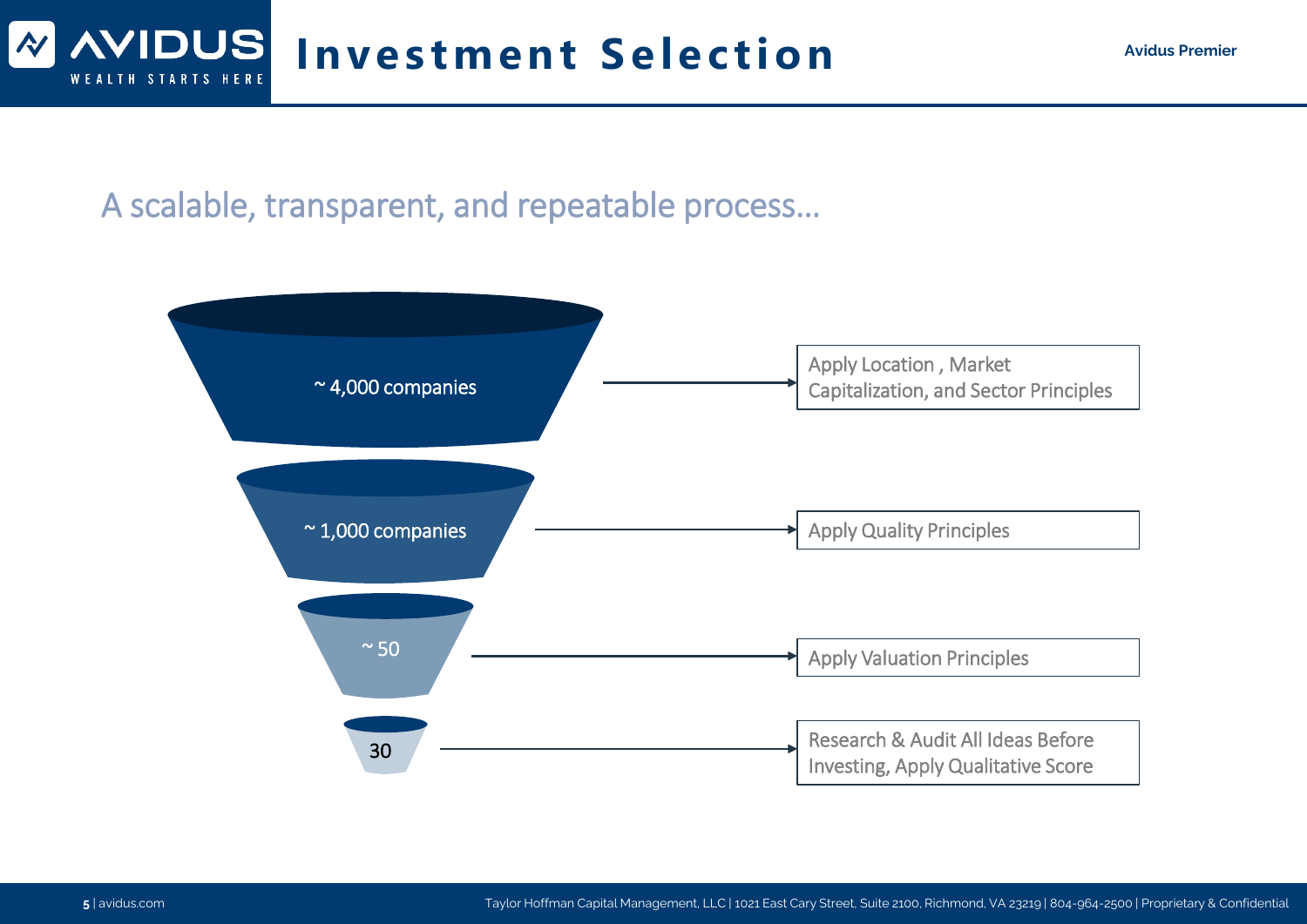

A scalable, transparent, and repeatable process…

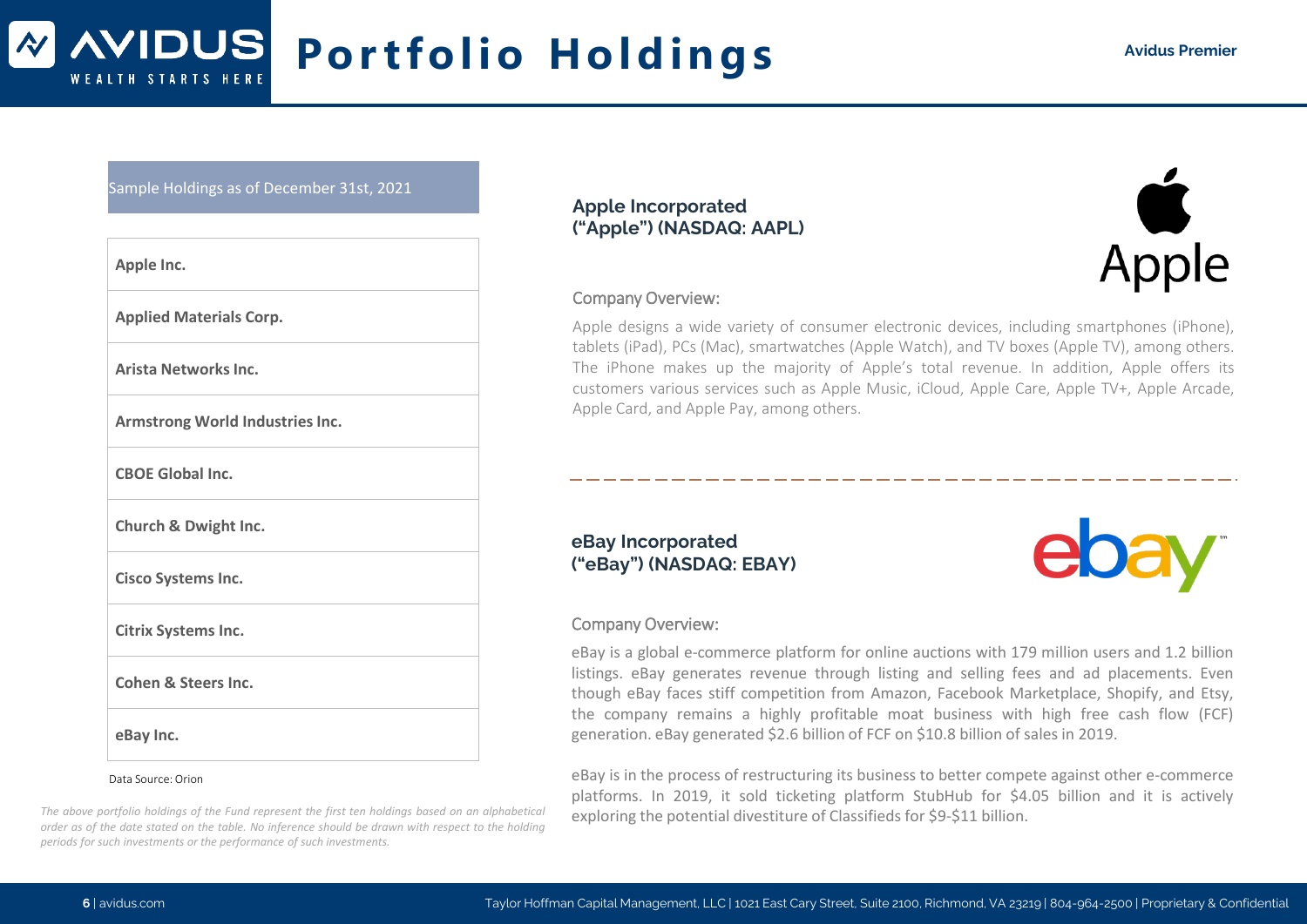#### **WIDUS Portfolio Holdings Avidus Premier** WEALTH STARTS HERE

#### Sample Holdings as of December 31st, 2021

| Apple Inc.                      |
|---------------------------------|
| <b>Applied Materials Corp.</b>  |
| Arista Networks Inc.            |
| Armstrong World Industries Inc. |
| <b>CBOE Global Inc.</b>         |
| <b>Church &amp; Dwight Inc.</b> |
| Cisco Systems Inc.              |
| <b>Citrix Systems Inc.</b>      |
| <b>Cohen &amp; Steers Inc.</b>  |
| eBay Inc.                       |
| Data Source: Orion              |

#### *The above portfolio holdings of the Fund represent the first ten holdings based on an alphabetical* order as of the date stated on the table. No inference should be drawn with respect to the holding *periods for such investments or the performance of such investments.*

#### **Apple Incorporated ("Apple") (NASDAQ: AAPL)**



#### Company Overview:

Apple designs a wide variety of consumer electronic devices, including smartphones (iPhone), tablets (iPad), PCs (Mac), smartwatches (Apple Watch), and TV boxes (Apple TV), among others. The iPhone makes up the majority of Apple's total revenue. In addition, Apple offers its customers various services such as Apple Music, iCloud, Apple Care, Apple TV+, Apple Arcade, Apple Card, and Apple Pay, among others.

#### **eBay Incorporated ("eBay") (NASDAQ: EBAY)**

#### Company Overview:

eBay is a global e-commerce platform for online auctions with 179 million users and 1.2 billion listings. eBay generates revenue through listing and selling fees and ad placements. Even though eBay faces stiff competition from Amazon, Facebook Marketplace, Shopify, and Etsy, the company remains a highly profitable moat business with high free cash flow (FCF) generation. eBay generated \$2.6 billion of FCF on \$10.8 billion of sales in 2019.

eBay is in the process of restructuring its business to better compete against other e-commerce platforms. In 2019, it sold ticketing platform StubHub for \$4.05 billion and it is actively exploring the potential divestiture of Classifieds for \$9-\$11 billion.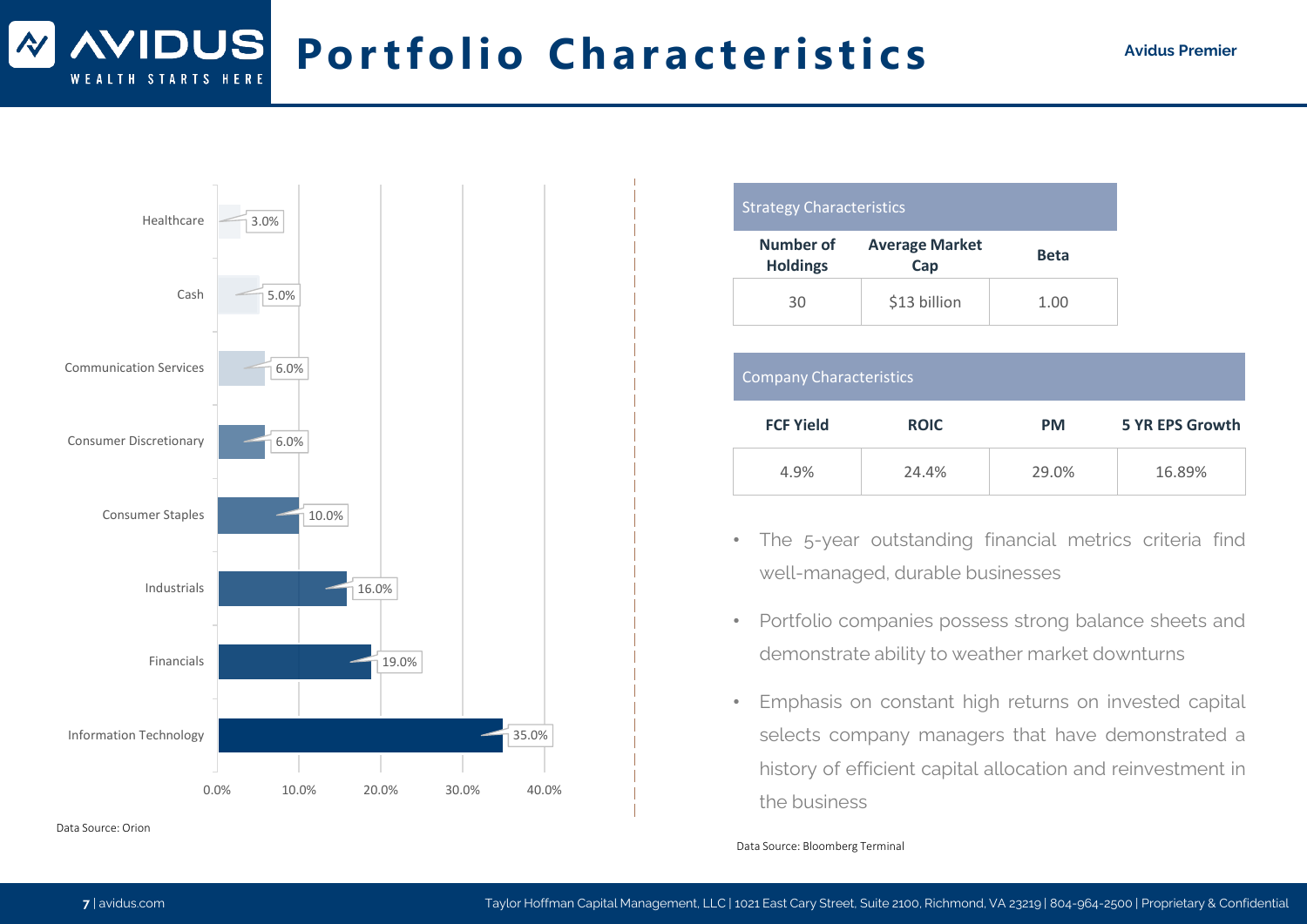#### **WIDUS Portfolio Characteristics** Avidus Premier STARTS HERE



Data Source: Orion

| <b>Strategy Characteristics</b> |  |
|---------------------------------|--|
|                                 |  |
|                                 |  |

| Number of<br><b>Holdings</b> | <b>Average Market</b><br>Cap | <b>Beta</b> |
|------------------------------|------------------------------|-------------|
| 30                           | \$13 billion                 | 1.00        |

|                  | Company Characteristics |           |                        |
|------------------|-------------------------|-----------|------------------------|
| <b>FCF Yield</b> | <b>ROIC</b>             | <b>PM</b> | <b>5 YR EPS Growth</b> |
| 4.9%             | 24.4%                   | 29.0%     | 16.89%                 |

- The 5-year outstanding financial metrics criteria find well-managed, durable businesses
- Portfolio companies possess strong balance sheets and demonstrate ability to weather market downturns
- Emphasis on constant high returns on invested capital selects company managers that have demonstrated a history of efficient capital allocation and reinvestment in the business

Data Source: Bloomberg Terminal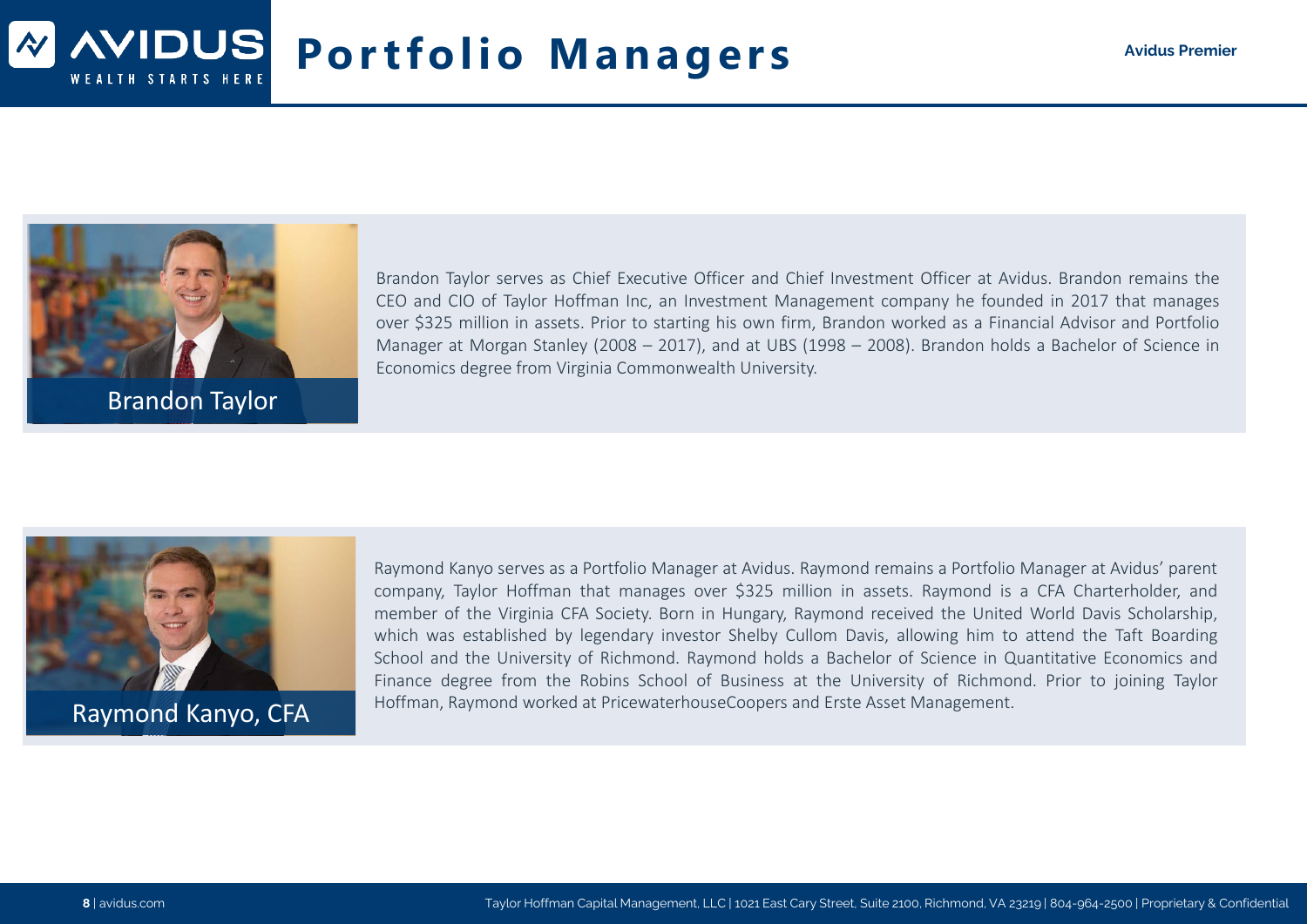#### **AVIDUS Portfolio Managers Avidus Premier** STARTS HERE



Brandon Taylor

Brandon Taylor serves as Chief Executive Officer and Chief Investment Officer at Avidus. Brandon remains the CEO and CIO of Taylor Hoffman Inc, an Investment Management company he founded in 2017 that manages over \$325 million in assets. Prior to starting his own firm, Brandon worked as a Financial Advisor and Portfolio Manager at Morgan Stanley (2008 – 2017), and at UBS (1998 – 2008). Brandon holds a Bachelor of Science in Economics degree from Virginia Commonwealth University.



Raymond Kanyo, CFA

Raymond Kanyo serves as a Portfolio Manager at Avidus. Raymond remains a Portfolio Manager at Avidus' parent company, Taylor Hoffman that manages over \$325 million in assets. Raymond is a CFA Charterholder, and member of the Virginia CFA Society. Born in Hungary, Raymond received the United World Davis Scholarship, which was established by legendary investor Shelby Cullom Davis, allowing him to attend the Taft Boarding School and the University of Richmond. Raymond holds a Bachelor of Science in Quantitative Economics and Finance degree from the Robins School of Business at the University of Richmond. Prior to joining Taylor Hoffman, Raymond worked at PricewaterhouseCoopers and Erste Asset Management.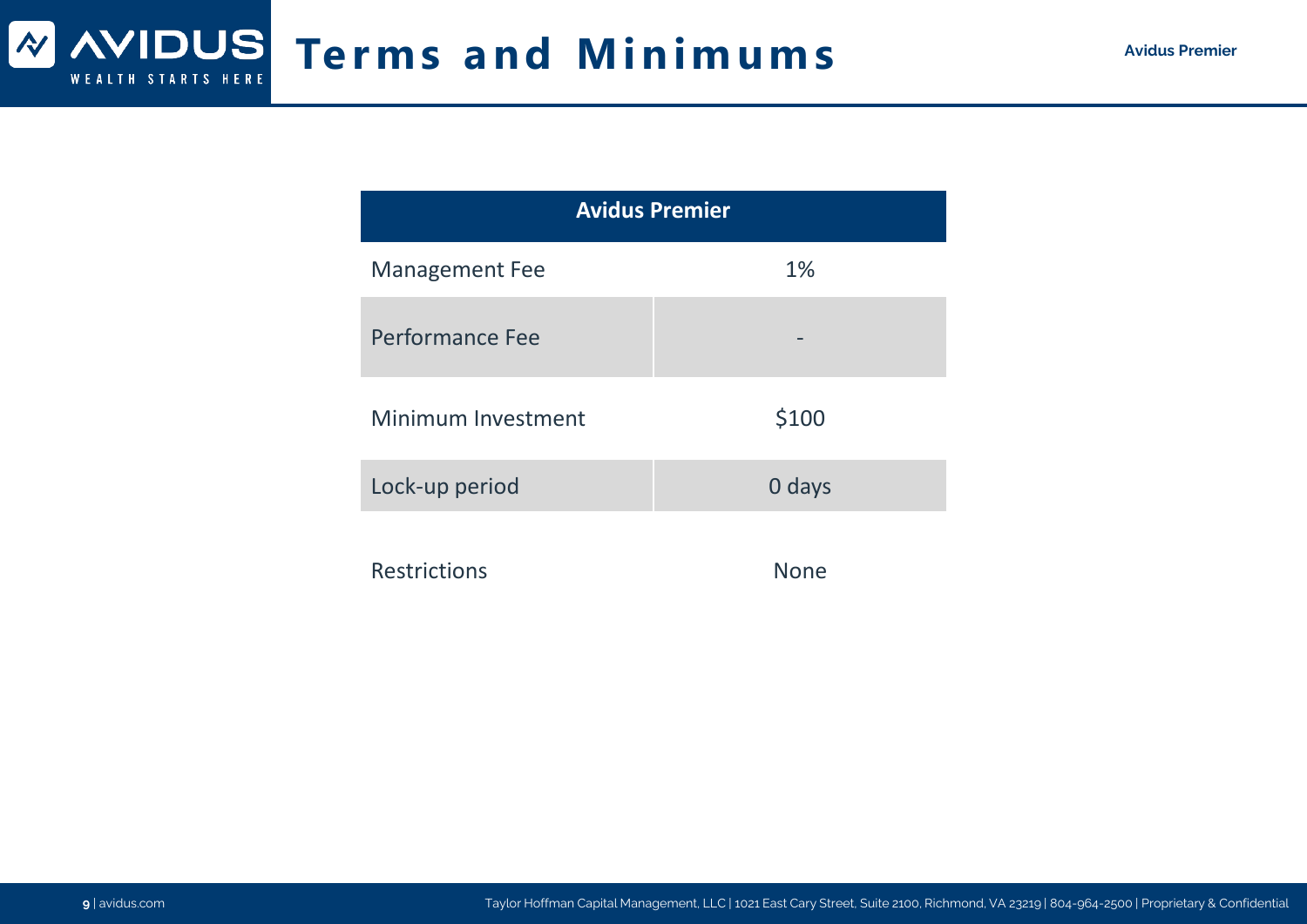# **Terms and Minimums Avidus Premier Avidus Premier**

| <b>Avidus Premier</b> |             |  |
|-----------------------|-------------|--|
| <b>Management Fee</b> | 1%          |  |
| Performance Fee       |             |  |
| Minimum Investment    | \$100       |  |
| Lock-up period        | 0 days      |  |
| <b>Restrictions</b>   | <b>None</b> |  |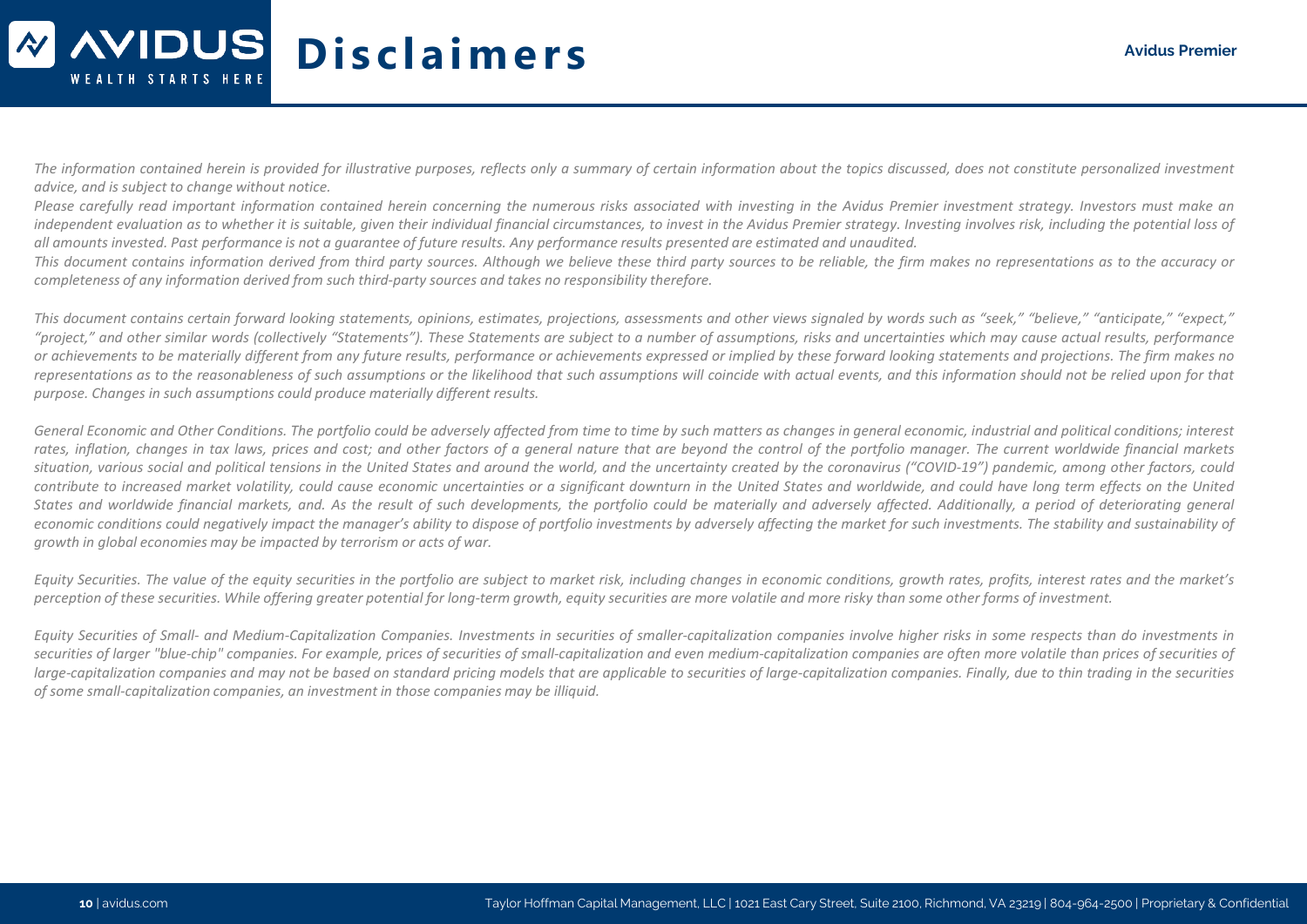## **Disclaimers Avidus Premier** WEALTH STARTS HERE

The information contained herein is provided for illustrative purposes, reflects only a summary of certain information about the topics discussed, does not constitute personalized investment *advice, and is subject to change without notice.*

Please carefully read important information contained herein concernina the numerous risks associated with investing in the Avidus Premier investment strateay, Investors must make an independent evaluation as to whether it is suitable, aiven their individual financial circumstances, to invest in the Avidus Premier strateay, Investina involves risk, includina the potential loss of all amounts invested. Past performance is not a augrantee of future results. Any performance results presented are estimated and unaudited.

This document contains information derived from third party sources. Although we believe these third party sources to be reliable, the firm makes no representations as to the accuracy or *completeness of any information derived from such third-party sources and takes no responsibility therefore.*

This document contains certain forward looking statements, opinions, estimates, projections, assessments and other views signaled by words such as "seek," "believe," "anticipate," "expect," "project," and other similar words (collectively "Statements"). These Statements are subject to a number of assumptions, risks and uncertainties which may cause actual results, performance or achievements to be materially different from any future results, performance or achievements expressed or implied by these forward looking statements and projections. The firm makes no representations as to the reasonableness of such assumptions or the likelihood that such assumptions will coincide with actual events, and this information should not be relied upon for that *purpose. Changes in such assumptions could produce materially different results.*

General Economic and Other Conditions. The portfolio could be adversely affected from time to time by such matters as changes in general economic, industrial and political conditions; interest rates, inflation, changes in tax laws, prices and cost; and other factors of a general nature that are beyond the control of the portfolio manager. The current worldwide financial markets situation, various social and political tensions in the United States and around the world, and the uncertainty created by the coronavirus ("COVID-19") pandemic, among other factors, could contribute to increased market volatility, could cause economic uncertainties or a significant downturn in the United States and worldwide, and could have long term effects on the United States and worldwide financial markets, and. As the result of such developments, the portfolio could be materially and adversely affected. Additionally, a period of deteriorating general economic conditions could negatively impact the manager's ability to dispose of portfolio investments by adversely affecting the market for such investments. The stability and sustainability of *growth in global economies may be impacted by terrorism or acts of war.*

Equity Securities. The value of the equity securities in the portfolio are subject to market risk, including changes in economic conditions, growth rates, profits, interest rates and the market's perception of these securities. While offering greater potential for long-term growth, equity securities are more volatile and more risky than some other forms of investment.

Equity Securities of Small- and Medium-Capitalization Companies. Investments in securities of smaller-capitalization companies involve higher risks in some respects than do investments in securities of larger "blue-chip" companies. For example, prices of securities of small-capitalization and even medium-capitalization companies are often more volatile than prices of securities of large-capitalization companies and may not be based on standard pricing models that are applicable to securities of large-capitalization companies. Finally, due to thin trading in the securities *of some small-capitalization companies, an investment in those companies may be illiquid.*